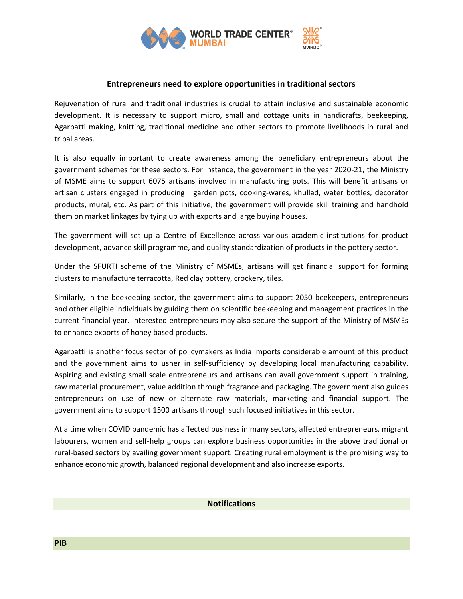

## **Entrepreneurs need to explore opportunities in traditional sectors**

Rejuvenation of rural and traditional industries is crucial to attain inclusive and sustainable economic development. It is necessary to support micro, small and cottage units in handicrafts, beekeeping, Agarbatti making, knitting, traditional medicine and other sectors to promote livelihoods in rural and tribal areas.

It is also equally important to create awareness among the beneficiary entrepreneurs about the government schemes for these sectors. For instance, the government in the year 2020-21, the Ministry of MSME aims to support 6075 artisans involved in manufacturing pots. This will benefit artisans or artisan clusters engaged in producing garden pots, cooking-wares, khullad, water bottles, decorator products, mural, etc. As part of this initiative, the government will provide skill training and handhold them on market linkages by tying up with exports and large buying houses.

The government will set up a Centre of Excellence across various academic institutions for product development, advance skill programme, and quality standardization of products in the pottery sector.

Under the SFURTI scheme of the Ministry of MSMEs, artisans will get financial support for forming clusters to manufacture terracotta, Red clay pottery, crockery, tiles.

Similarly, in the beekeeping sector, the government aims to support 2050 beekeepers, entrepreneurs and other eligible individuals by guiding them on scientific beekeeping and management practices in the current financial year. Interested entrepreneurs may also secure the support of the Ministry of MSMEs to enhance exports of honey based products.

Agarbatti is another focus sector of policymakers as India imports considerable amount of this product and the government aims to usher in self-sufficiency by developing local manufacturing capability. Aspiring and existing small scale entrepreneurs and artisans can avail government support in training, raw material procurement, value addition through fragrance and packaging. The government also guides entrepreneurs on use of new or alternate raw materials, marketing and financial support. The government aims to support 1500 artisans through such focused initiatives in this sector.

At a time when COVID pandemic has affected business in many sectors, affected entrepreneurs, migrant labourers, women and self-help groups can explore business opportunities in the above traditional or rural-based sectors by availing government support. Creating rural employment is the promising way to enhance economic growth, balanced regional development and also increase exports.

## **Notifications**